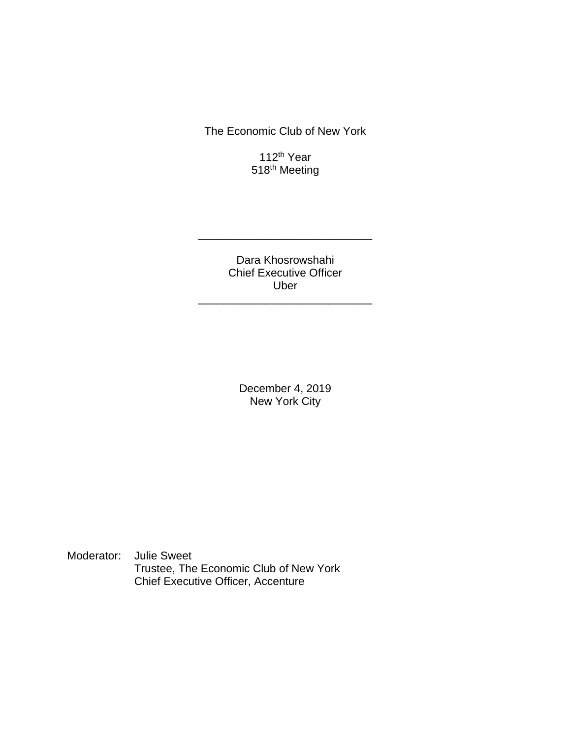The Economic Club of New York

112th Year 518<sup>th</sup> Meeting

Dara Khosrowshahi Chief Executive Officer Uber

\_\_\_\_\_\_\_\_\_\_\_\_\_\_\_\_\_\_\_\_\_\_\_\_\_\_\_\_

\_\_\_\_\_\_\_\_\_\_\_\_\_\_\_\_\_\_\_\_\_\_\_\_\_\_\_\_

December 4, 2019 New York City

Moderator: Julie Sweet Trustee, The Economic Club of New York Chief Executive Officer, Accenture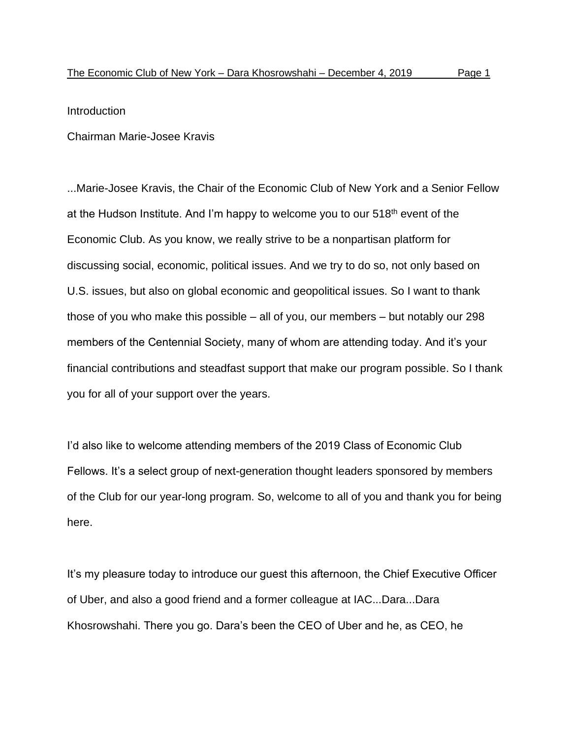Introduction

Chairman Marie-Josee Kravis

...Marie-Josee Kravis, the Chair of the Economic Club of New York and a Senior Fellow at the Hudson Institute. And I'm happy to welcome you to our  $518<sup>th</sup>$  event of the Economic Club. As you know, we really strive to be a nonpartisan platform for discussing social, economic, political issues. And we try to do so, not only based on U.S. issues, but also on global economic and geopolitical issues. So I want to thank those of you who make this possible – all of you, our members – but notably our 298 members of the Centennial Society, many of whom are attending today. And it's your financial contributions and steadfast support that make our program possible. So I thank you for all of your support over the years.

I'd also like to welcome attending members of the 2019 Class of Economic Club Fellows. It's a select group of next-generation thought leaders sponsored by members of the Club for our year-long program. So, welcome to all of you and thank you for being here.

It's my pleasure today to introduce our guest this afternoon, the Chief Executive Officer of Uber, and also a good friend and a former colleague at IAC...Dara...Dara Khosrowshahi. There you go. Dara's been the CEO of Uber and he, as CEO, he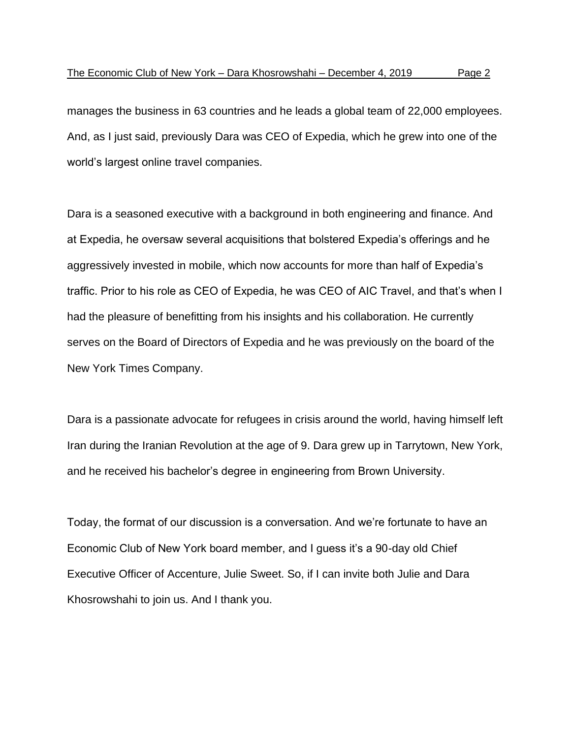manages the business in 63 countries and he leads a global team of 22,000 employees. And, as I just said, previously Dara was CEO of Expedia, which he grew into one of the world's largest online travel companies.

Dara is a seasoned executive with a background in both engineering and finance. And at Expedia, he oversaw several acquisitions that bolstered Expedia's offerings and he aggressively invested in mobile, which now accounts for more than half of Expedia's traffic. Prior to his role as CEO of Expedia, he was CEO of AIC Travel, and that's when I had the pleasure of benefitting from his insights and his collaboration. He currently serves on the Board of Directors of Expedia and he was previously on the board of the New York Times Company.

Dara is a passionate advocate for refugees in crisis around the world, having himself left Iran during the Iranian Revolution at the age of 9. Dara grew up in Tarrytown, New York, and he received his bachelor's degree in engineering from Brown University.

Today, the format of our discussion is a conversation. And we're fortunate to have an Economic Club of New York board member, and I guess it's a 90-day old Chief Executive Officer of Accenture, Julie Sweet. So, if I can invite both Julie and Dara Khosrowshahi to join us. And I thank you.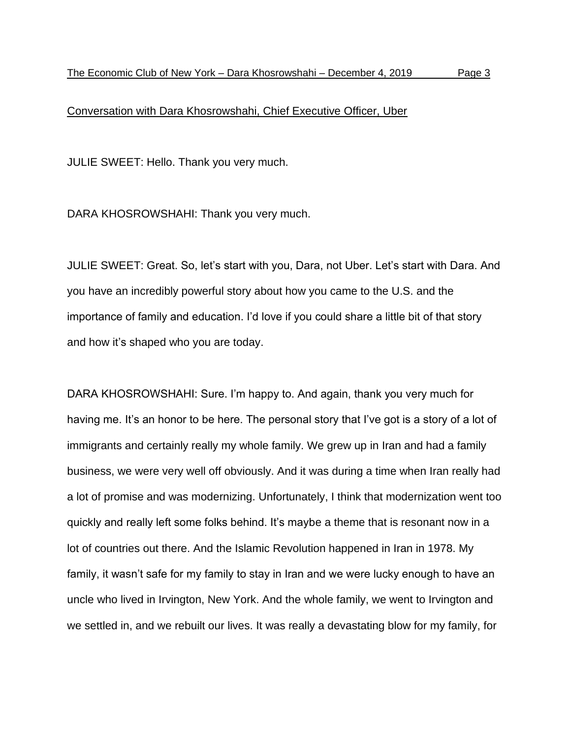## Conversation with Dara Khosrowshahi, Chief Executive Officer, Uber

JULIE SWEET: Hello. Thank you very much.

DARA KHOSROWSHAHI: Thank you very much.

JULIE SWEET: Great. So, let's start with you, Dara, not Uber. Let's start with Dara. And you have an incredibly powerful story about how you came to the U.S. and the importance of family and education. I'd love if you could share a little bit of that story and how it's shaped who you are today.

DARA KHOSROWSHAHI: Sure. I'm happy to. And again, thank you very much for having me. It's an honor to be here. The personal story that I've got is a story of a lot of immigrants and certainly really my whole family. We grew up in Iran and had a family business, we were very well off obviously. And it was during a time when Iran really had a lot of promise and was modernizing. Unfortunately, I think that modernization went too quickly and really left some folks behind. It's maybe a theme that is resonant now in a lot of countries out there. And the Islamic Revolution happened in Iran in 1978. My family, it wasn't safe for my family to stay in Iran and we were lucky enough to have an uncle who lived in Irvington, New York. And the whole family, we went to Irvington and we settled in, and we rebuilt our lives. It was really a devastating blow for my family, for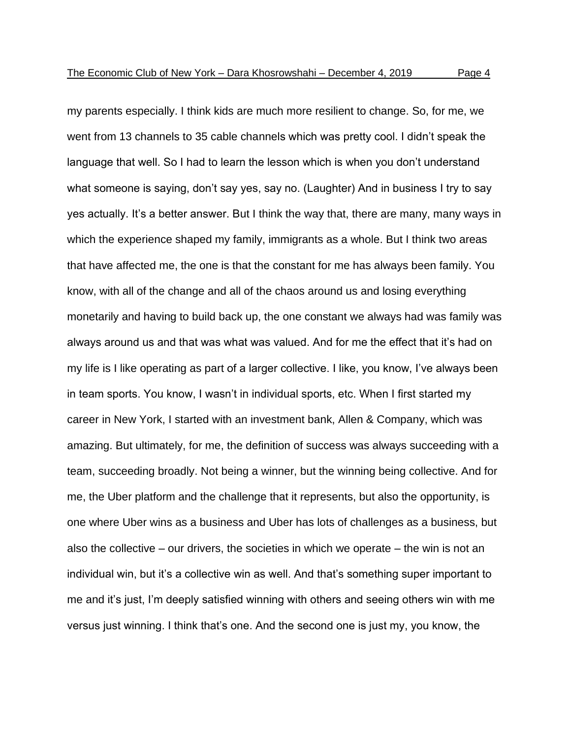my parents especially. I think kids are much more resilient to change. So, for me, we went from 13 channels to 35 cable channels which was pretty cool. I didn't speak the language that well. So I had to learn the lesson which is when you don't understand what someone is saying, don't say yes, say no. (Laughter) And in business I try to say yes actually. It's a better answer. But I think the way that, there are many, many ways in which the experience shaped my family, immigrants as a whole. But I think two areas that have affected me, the one is that the constant for me has always been family. You know, with all of the change and all of the chaos around us and losing everything monetarily and having to build back up, the one constant we always had was family was always around us and that was what was valued. And for me the effect that it's had on my life is I like operating as part of a larger collective. I like, you know, I've always been in team sports. You know, I wasn't in individual sports, etc. When I first started my career in New York, I started with an investment bank, Allen & Company, which was amazing. But ultimately, for me, the definition of success was always succeeding with a team, succeeding broadly. Not being a winner, but the winning being collective. And for me, the Uber platform and the challenge that it represents, but also the opportunity, is one where Uber wins as a business and Uber has lots of challenges as a business, but also the collective – our drivers, the societies in which we operate – the win is not an individual win, but it's a collective win as well. And that's something super important to me and it's just, I'm deeply satisfied winning with others and seeing others win with me versus just winning. I think that's one. And the second one is just my, you know, the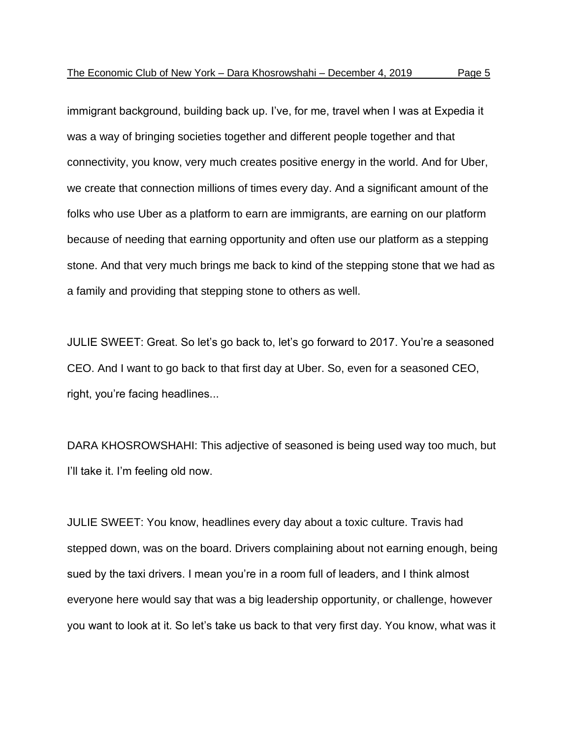immigrant background, building back up. I've, for me, travel when I was at Expedia it was a way of bringing societies together and different people together and that connectivity, you know, very much creates positive energy in the world. And for Uber, we create that connection millions of times every day. And a significant amount of the folks who use Uber as a platform to earn are immigrants, are earning on our platform because of needing that earning opportunity and often use our platform as a stepping stone. And that very much brings me back to kind of the stepping stone that we had as a family and providing that stepping stone to others as well.

JULIE SWEET: Great. So let's go back to, let's go forward to 2017. You're a seasoned CEO. And I want to go back to that first day at Uber. So, even for a seasoned CEO, right, you're facing headlines...

DARA KHOSROWSHAHI: This adjective of seasoned is being used way too much, but I'll take it. I'm feeling old now.

JULIE SWEET: You know, headlines every day about a toxic culture. Travis had stepped down, was on the board. Drivers complaining about not earning enough, being sued by the taxi drivers. I mean you're in a room full of leaders, and I think almost everyone here would say that was a big leadership opportunity, or challenge, however you want to look at it. So let's take us back to that very first day. You know, what was it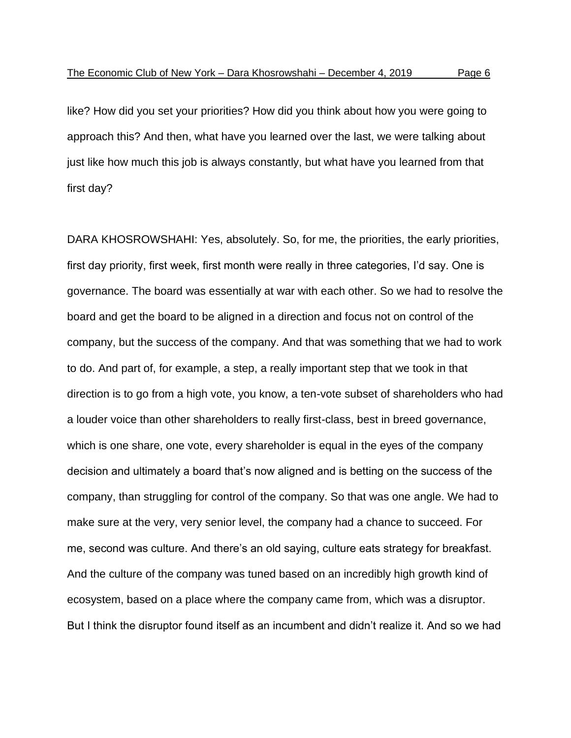like? How did you set your priorities? How did you think about how you were going to approach this? And then, what have you learned over the last, we were talking about just like how much this job is always constantly, but what have you learned from that first day?

DARA KHOSROWSHAHI: Yes, absolutely. So, for me, the priorities, the early priorities, first day priority, first week, first month were really in three categories, I'd say. One is governance. The board was essentially at war with each other. So we had to resolve the board and get the board to be aligned in a direction and focus not on control of the company, but the success of the company. And that was something that we had to work to do. And part of, for example, a step, a really important step that we took in that direction is to go from a high vote, you know, a ten-vote subset of shareholders who had a louder voice than other shareholders to really first-class, best in breed governance, which is one share, one vote, every shareholder is equal in the eyes of the company decision and ultimately a board that's now aligned and is betting on the success of the company, than struggling for control of the company. So that was one angle. We had to make sure at the very, very senior level, the company had a chance to succeed. For me, second was culture. And there's an old saying, culture eats strategy for breakfast. And the culture of the company was tuned based on an incredibly high growth kind of ecosystem, based on a place where the company came from, which was a disruptor. But I think the disruptor found itself as an incumbent and didn't realize it. And so we had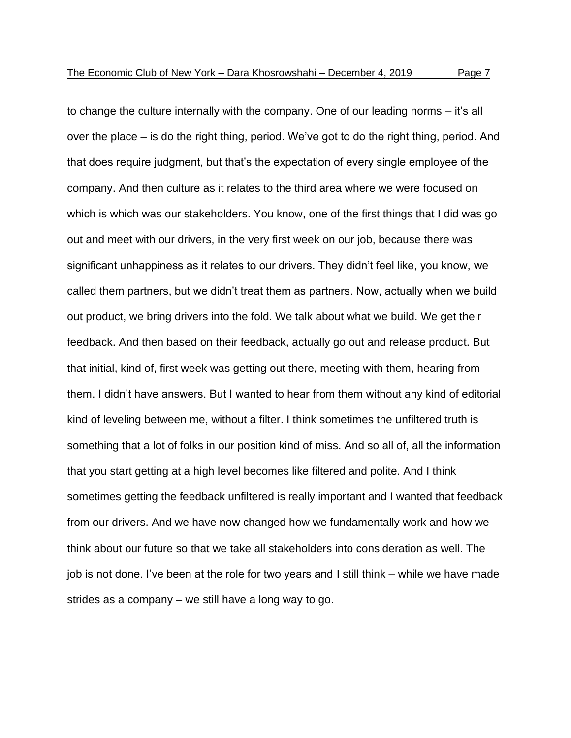to change the culture internally with the company. One of our leading norms – it's all over the place – is do the right thing, period. We've got to do the right thing, period. And

that does require judgment, but that's the expectation of every single employee of the company. And then culture as it relates to the third area where we were focused on which is which was our stakeholders. You know, one of the first things that I did was go out and meet with our drivers, in the very first week on our job, because there was significant unhappiness as it relates to our drivers. They didn't feel like, you know, we called them partners, but we didn't treat them as partners. Now, actually when we build out product, we bring drivers into the fold. We talk about what we build. We get their feedback. And then based on their feedback, actually go out and release product. But that initial, kind of, first week was getting out there, meeting with them, hearing from them. I didn't have answers. But I wanted to hear from them without any kind of editorial kind of leveling between me, without a filter. I think sometimes the unfiltered truth is something that a lot of folks in our position kind of miss. And so all of, all the information that you start getting at a high level becomes like filtered and polite. And I think sometimes getting the feedback unfiltered is really important and I wanted that feedback from our drivers. And we have now changed how we fundamentally work and how we think about our future so that we take all stakeholders into consideration as well. The job is not done. I've been at the role for two years and I still think – while we have made strides as a company – we still have a long way to go.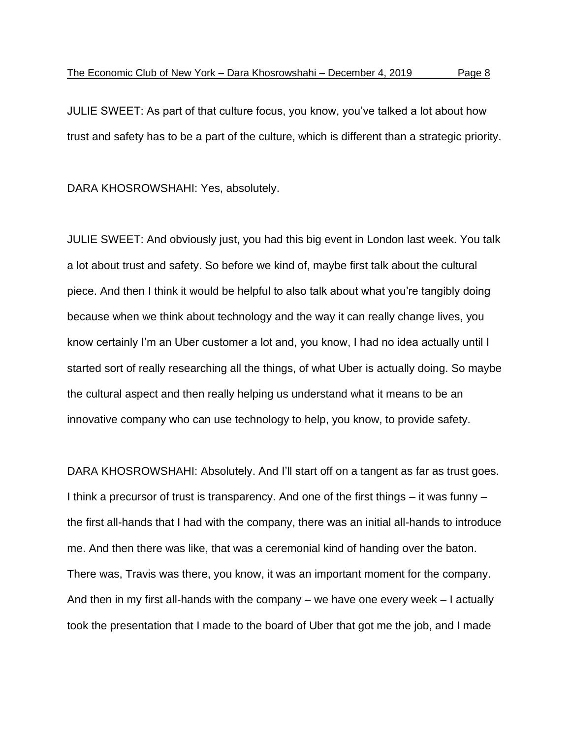JULIE SWEET: As part of that culture focus, you know, you've talked a lot about how trust and safety has to be a part of the culture, which is different than a strategic priority.

DARA KHOSROWSHAHI: Yes, absolutely.

JULIE SWEET: And obviously just, you had this big event in London last week. You talk a lot about trust and safety. So before we kind of, maybe first talk about the cultural piece. And then I think it would be helpful to also talk about what you're tangibly doing because when we think about technology and the way it can really change lives, you know certainly I'm an Uber customer a lot and, you know, I had no idea actually until I started sort of really researching all the things, of what Uber is actually doing. So maybe the cultural aspect and then really helping us understand what it means to be an innovative company who can use technology to help, you know, to provide safety.

DARA KHOSROWSHAHI: Absolutely. And I'll start off on a tangent as far as trust goes. I think a precursor of trust is transparency. And one of the first things – it was funny – the first all-hands that I had with the company, there was an initial all-hands to introduce me. And then there was like, that was a ceremonial kind of handing over the baton. There was, Travis was there, you know, it was an important moment for the company. And then in my first all-hands with the company – we have one every week – I actually took the presentation that I made to the board of Uber that got me the job, and I made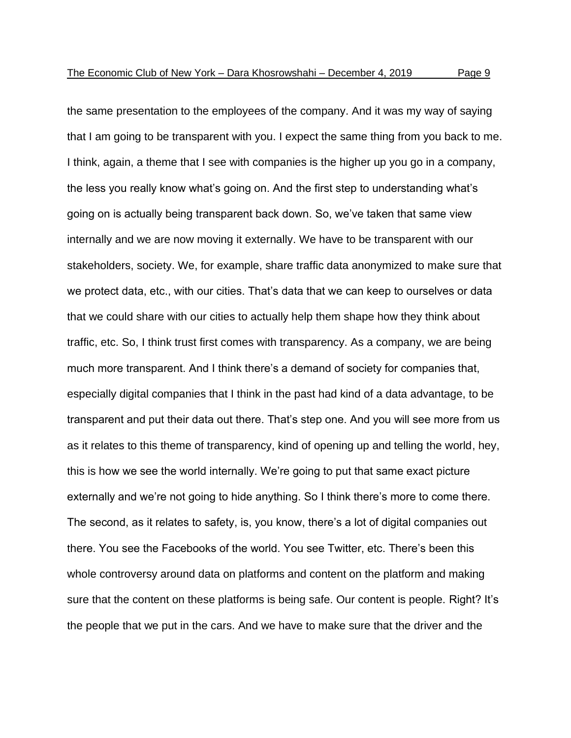the same presentation to the employees of the company. And it was my way of saying that I am going to be transparent with you. I expect the same thing from you back to me. I think, again, a theme that I see with companies is the higher up you go in a company, the less you really know what's going on. And the first step to understanding what's going on is actually being transparent back down. So, we've taken that same view internally and we are now moving it externally. We have to be transparent with our stakeholders, society. We, for example, share traffic data anonymized to make sure that we protect data, etc., with our cities. That's data that we can keep to ourselves or data that we could share with our cities to actually help them shape how they think about traffic, etc. So, I think trust first comes with transparency. As a company, we are being much more transparent. And I think there's a demand of society for companies that, especially digital companies that I think in the past had kind of a data advantage, to be transparent and put their data out there. That's step one. And you will see more from us as it relates to this theme of transparency, kind of opening up and telling the world, hey, this is how we see the world internally. We're going to put that same exact picture externally and we're not going to hide anything. So I think there's more to come there. The second, as it relates to safety, is, you know, there's a lot of digital companies out there. You see the Facebooks of the world. You see Twitter, etc. There's been this whole controversy around data on platforms and content on the platform and making sure that the content on these platforms is being safe. Our content is people. Right? It's

the people that we put in the cars. And we have to make sure that the driver and the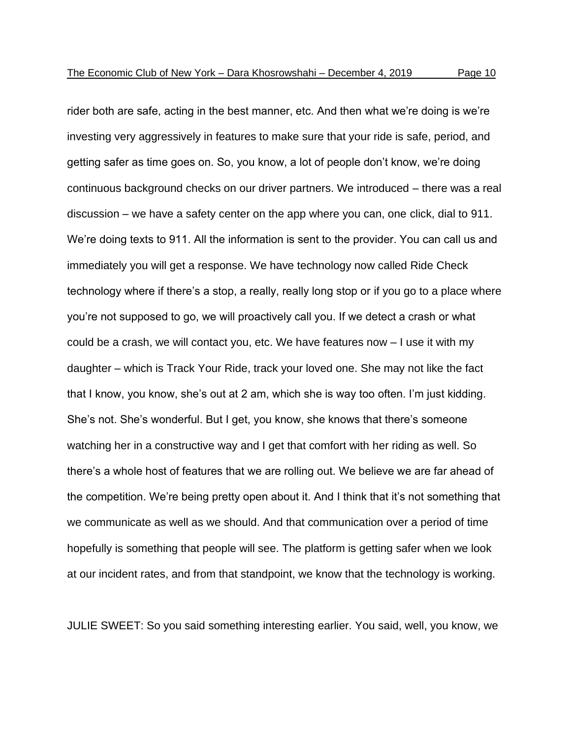rider both are safe, acting in the best manner, etc. And then what we're doing is we're investing very aggressively in features to make sure that your ride is safe, period, and getting safer as time goes on. So, you know, a lot of people don't know, we're doing continuous background checks on our driver partners. We introduced – there was a real discussion – we have a safety center on the app where you can, one click, dial to 911. We're doing texts to 911. All the information is sent to the provider. You can call us and immediately you will get a response. We have technology now called Ride Check technology where if there's a stop, a really, really long stop or if you go to a place where you're not supposed to go, we will proactively call you. If we detect a crash or what could be a crash, we will contact you, etc. We have features now – I use it with my daughter – which is Track Your Ride, track your loved one. She may not like the fact that I know, you know, she's out at 2 am, which she is way too often. I'm just kidding. She's not. She's wonderful. But I get, you know, she knows that there's someone watching her in a constructive way and I get that comfort with her riding as well. So there's a whole host of features that we are rolling out. We believe we are far ahead of the competition. We're being pretty open about it. And I think that it's not something that we communicate as well as we should. And that communication over a period of time hopefully is something that people will see. The platform is getting safer when we look at our incident rates, and from that standpoint, we know that the technology is working.

JULIE SWEET: So you said something interesting earlier. You said, well, you know, we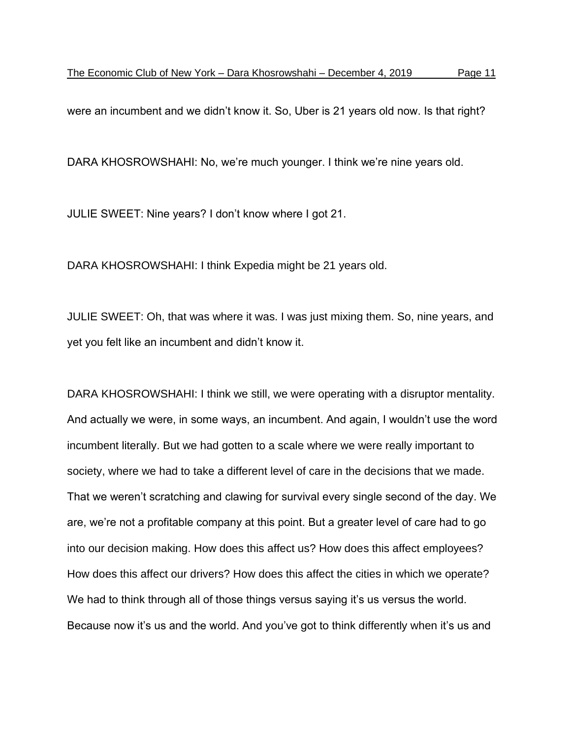were an incumbent and we didn't know it. So, Uber is 21 years old now. Is that right?

DARA KHOSROWSHAHI: No, we're much younger. I think we're nine years old.

JULIE SWEET: Nine years? I don't know where I got 21.

DARA KHOSROWSHAHI: I think Expedia might be 21 years old.

JULIE SWEET: Oh, that was where it was. I was just mixing them. So, nine years, and yet you felt like an incumbent and didn't know it.

DARA KHOSROWSHAHI: I think we still, we were operating with a disruptor mentality. And actually we were, in some ways, an incumbent. And again, I wouldn't use the word incumbent literally. But we had gotten to a scale where we were really important to society, where we had to take a different level of care in the decisions that we made. That we weren't scratching and clawing for survival every single second of the day. We are, we're not a profitable company at this point. But a greater level of care had to go into our decision making. How does this affect us? How does this affect employees? How does this affect our drivers? How does this affect the cities in which we operate? We had to think through all of those things versus saying it's us versus the world. Because now it's us and the world. And you've got to think differently when it's us and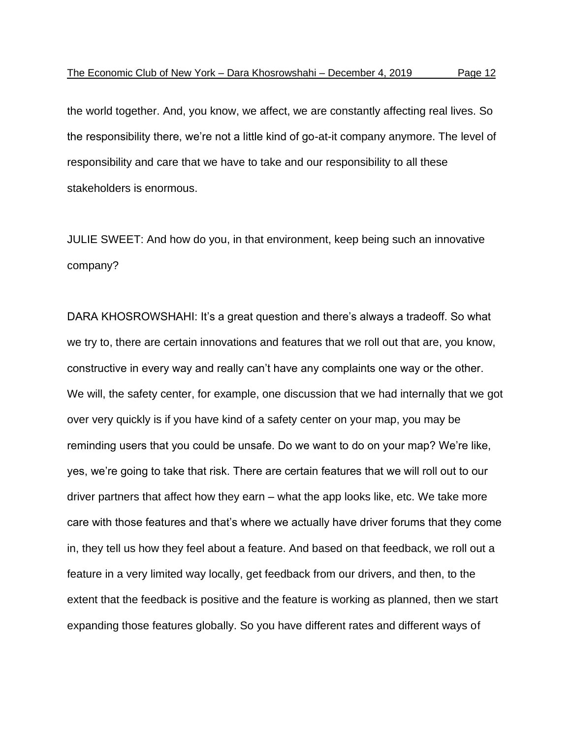the world together. And, you know, we affect, we are constantly affecting real lives. So the responsibility there, we're not a little kind of go-at-it company anymore. The level of responsibility and care that we have to take and our responsibility to all these stakeholders is enormous.

JULIE SWEET: And how do you, in that environment, keep being such an innovative company?

DARA KHOSROWSHAHI: It's a great question and there's always a tradeoff. So what we try to, there are certain innovations and features that we roll out that are, you know, constructive in every way and really can't have any complaints one way or the other. We will, the safety center, for example, one discussion that we had internally that we got over very quickly is if you have kind of a safety center on your map, you may be reminding users that you could be unsafe. Do we want to do on your map? We're like, yes, we're going to take that risk. There are certain features that we will roll out to our driver partners that affect how they earn – what the app looks like, etc. We take more care with those features and that's where we actually have driver forums that they come in, they tell us how they feel about a feature. And based on that feedback, we roll out a feature in a very limited way locally, get feedback from our drivers, and then, to the extent that the feedback is positive and the feature is working as planned, then we start expanding those features globally. So you have different rates and different ways of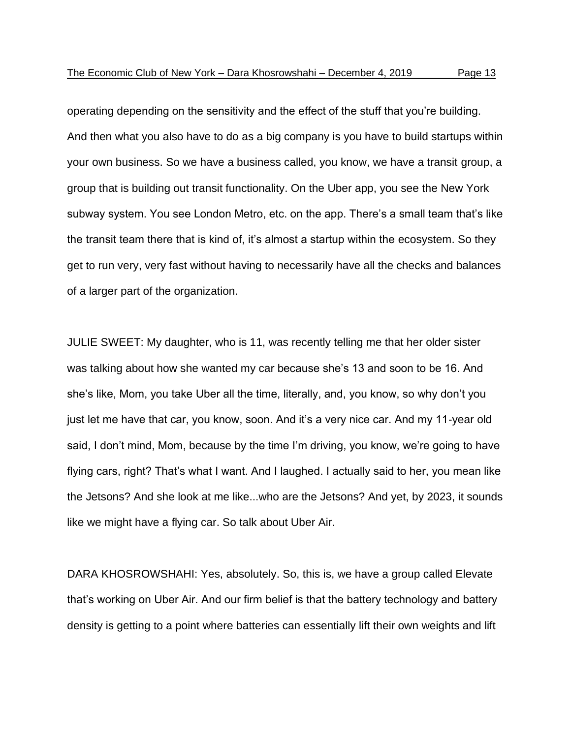operating depending on the sensitivity and the effect of the stuff that you're building. And then what you also have to do as a big company is you have to build startups within your own business. So we have a business called, you know, we have a transit group, a group that is building out transit functionality. On the Uber app, you see the New York subway system. You see London Metro, etc. on the app. There's a small team that's like the transit team there that is kind of, it's almost a startup within the ecosystem. So they get to run very, very fast without having to necessarily have all the checks and balances of a larger part of the organization.

JULIE SWEET: My daughter, who is 11, was recently telling me that her older sister was talking about how she wanted my car because she's 13 and soon to be 16. And she's like, Mom, you take Uber all the time, literally, and, you know, so why don't you just let me have that car, you know, soon. And it's a very nice car. And my 11-year old said, I don't mind, Mom, because by the time I'm driving, you know, we're going to have flying cars, right? That's what I want. And I laughed. I actually said to her, you mean like the Jetsons? And she look at me like...who are the Jetsons? And yet, by 2023, it sounds like we might have a flying car. So talk about Uber Air.

DARA KHOSROWSHAHI: Yes, absolutely. So, this is, we have a group called Elevate that's working on Uber Air. And our firm belief is that the battery technology and battery density is getting to a point where batteries can essentially lift their own weights and lift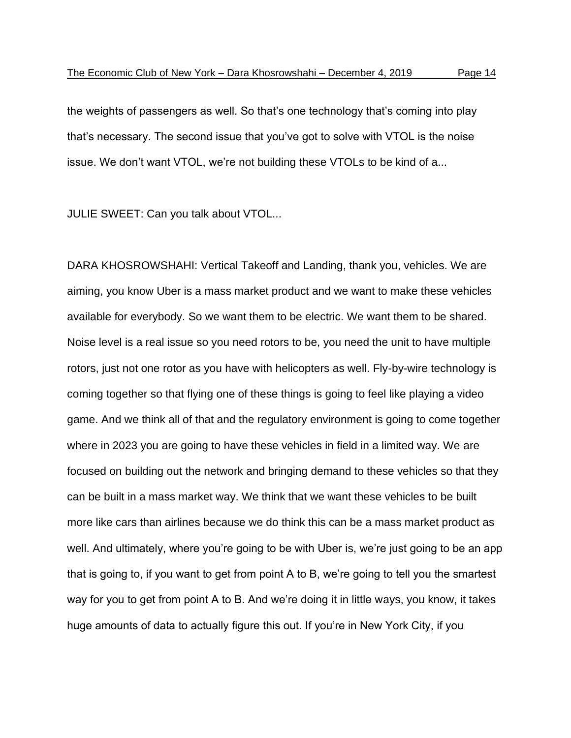the weights of passengers as well. So that's one technology that's coming into play that's necessary. The second issue that you've got to solve with VTOL is the noise issue. We don't want VTOL, we're not building these VTOLs to be kind of a...

JULIE SWEET: Can you talk about VTOL...

DARA KHOSROWSHAHI: Vertical Takeoff and Landing, thank you, vehicles. We are aiming, you know Uber is a mass market product and we want to make these vehicles available for everybody. So we want them to be electric. We want them to be shared. Noise level is a real issue so you need rotors to be, you need the unit to have multiple rotors, just not one rotor as you have with helicopters as well. Fly-by-wire technology is coming together so that flying one of these things is going to feel like playing a video game. And we think all of that and the regulatory environment is going to come together where in 2023 you are going to have these vehicles in field in a limited way. We are focused on building out the network and bringing demand to these vehicles so that they can be built in a mass market way. We think that we want these vehicles to be built more like cars than airlines because we do think this can be a mass market product as well. And ultimately, where you're going to be with Uber is, we're just going to be an app that is going to, if you want to get from point A to B, we're going to tell you the smartest way for you to get from point A to B. And we're doing it in little ways, you know, it takes huge amounts of data to actually figure this out. If you're in New York City, if you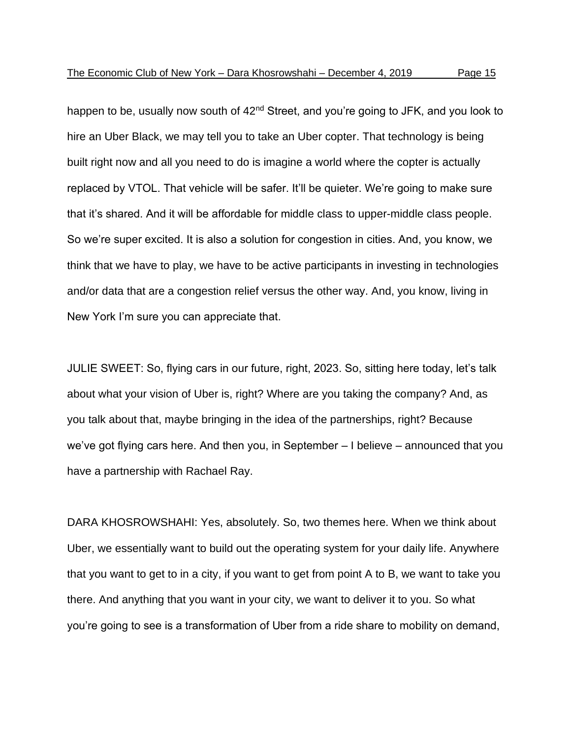happen to be, usually now south of 42<sup>nd</sup> Street, and you're going to JFK, and you look to hire an Uber Black, we may tell you to take an Uber copter. That technology is being built right now and all you need to do is imagine a world where the copter is actually replaced by VTOL. That vehicle will be safer. It'll be quieter. We're going to make sure that it's shared. And it will be affordable for middle class to upper-middle class people. So we're super excited. It is also a solution for congestion in cities. And, you know, we think that we have to play, we have to be active participants in investing in technologies and/or data that are a congestion relief versus the other way. And, you know, living in New York I'm sure you can appreciate that.

JULIE SWEET: So, flying cars in our future, right, 2023. So, sitting here today, let's talk about what your vision of Uber is, right? Where are you taking the company? And, as you talk about that, maybe bringing in the idea of the partnerships, right? Because we've got flying cars here. And then you, in September – I believe – announced that you have a partnership with Rachael Ray.

DARA KHOSROWSHAHI: Yes, absolutely. So, two themes here. When we think about Uber, we essentially want to build out the operating system for your daily life. Anywhere that you want to get to in a city, if you want to get from point A to B, we want to take you there. And anything that you want in your city, we want to deliver it to you. So what you're going to see is a transformation of Uber from a ride share to mobility on demand,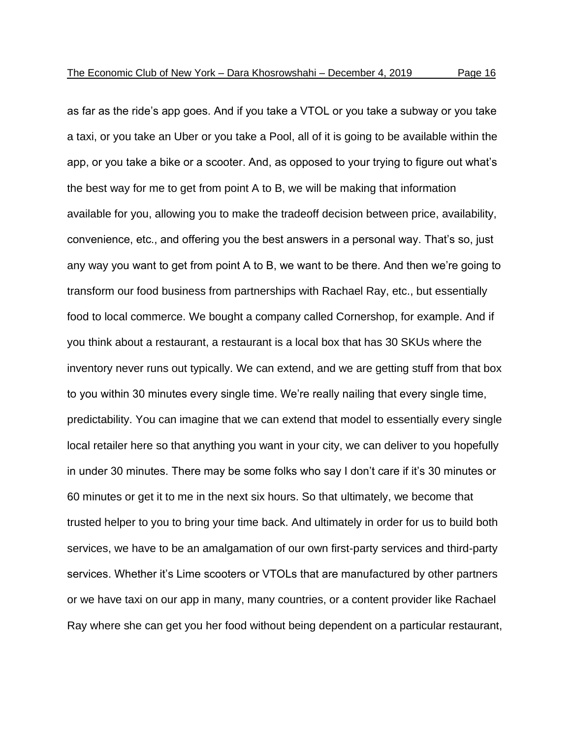as far as the ride's app goes. And if you take a VTOL or you take a subway or you take a taxi, or you take an Uber or you take a Pool, all of it is going to be available within the app, or you take a bike or a scooter. And, as opposed to your trying to figure out what's the best way for me to get from point A to B, we will be making that information available for you, allowing you to make the tradeoff decision between price, availability, convenience, etc., and offering you the best answers in a personal way. That's so, just any way you want to get from point A to B, we want to be there. And then we're going to transform our food business from partnerships with Rachael Ray, etc., but essentially food to local commerce. We bought a company called Cornershop, for example. And if you think about a restaurant, a restaurant is a local box that has 30 SKUs where the inventory never runs out typically. We can extend, and we are getting stuff from that box to you within 30 minutes every single time. We're really nailing that every single time, predictability. You can imagine that we can extend that model to essentially every single local retailer here so that anything you want in your city, we can deliver to you hopefully in under 30 minutes. There may be some folks who say I don't care if it's 30 minutes or 60 minutes or get it to me in the next six hours. So that ultimately, we become that trusted helper to you to bring your time back. And ultimately in order for us to build both services, we have to be an amalgamation of our own first-party services and third-party services. Whether it's Lime scooters or VTOLs that are manufactured by other partners or we have taxi on our app in many, many countries, or a content provider like Rachael Ray where she can get you her food without being dependent on a particular restaurant,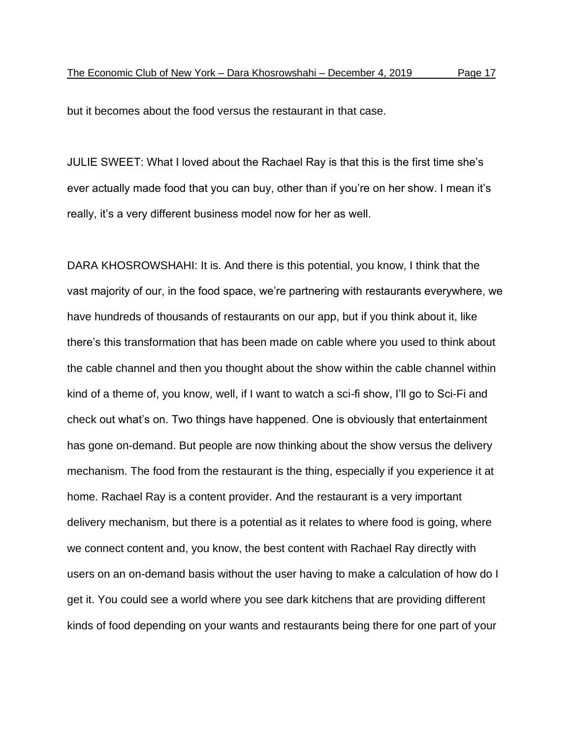but it becomes about the food versus the restaurant in that case.

JULIE SWEET: What I loved about the Rachael Ray is that this is the first time she's ever actually made food that you can buy, other than if you're on her show. I mean it's really, it's a very different business model now for her as well.

DARA KHOSROWSHAHI: It is. And there is this potential, you know, I think that the vast majority of our, in the food space, we're partnering with restaurants everywhere, we have hundreds of thousands of restaurants on our app, but if you think about it, like there's this transformation that has been made on cable where you used to think about the cable channel and then you thought about the show within the cable channel within kind of a theme of, you know, well, if I want to watch a sci-fi show, I'll go to Sci-Fi and check out what's on. Two things have happened. One is obviously that entertainment has gone on-demand. But people are now thinking about the show versus the delivery mechanism. The food from the restaurant is the thing, especially if you experience it at home. Rachael Ray is a content provider. And the restaurant is a very important delivery mechanism, but there is a potential as it relates to where food is going, where we connect content and, you know, the best content with Rachael Ray directly with users on an on-demand basis without the user having to make a calculation of how do I get it. You could see a world where you see dark kitchens that are providing different kinds of food depending on your wants and restaurants being there for one part of your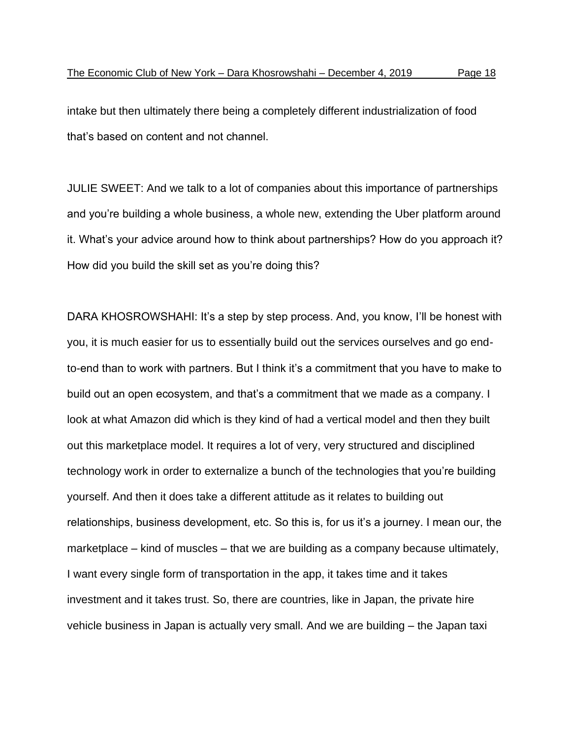intake but then ultimately there being a completely different industrialization of food that's based on content and not channel.

JULIE SWEET: And we talk to a lot of companies about this importance of partnerships and you're building a whole business, a whole new, extending the Uber platform around it. What's your advice around how to think about partnerships? How do you approach it? How did you build the skill set as you're doing this?

DARA KHOSROWSHAHI: It's a step by step process. And, you know, I'll be honest with you, it is much easier for us to essentially build out the services ourselves and go endto-end than to work with partners. But I think it's a commitment that you have to make to build out an open ecosystem, and that's a commitment that we made as a company. I look at what Amazon did which is they kind of had a vertical model and then they built out this marketplace model. It requires a lot of very, very structured and disciplined technology work in order to externalize a bunch of the technologies that you're building yourself. And then it does take a different attitude as it relates to building out relationships, business development, etc. So this is, for us it's a journey. I mean our, the marketplace – kind of muscles – that we are building as a company because ultimately, I want every single form of transportation in the app, it takes time and it takes investment and it takes trust. So, there are countries, like in Japan, the private hire vehicle business in Japan is actually very small. And we are building – the Japan taxi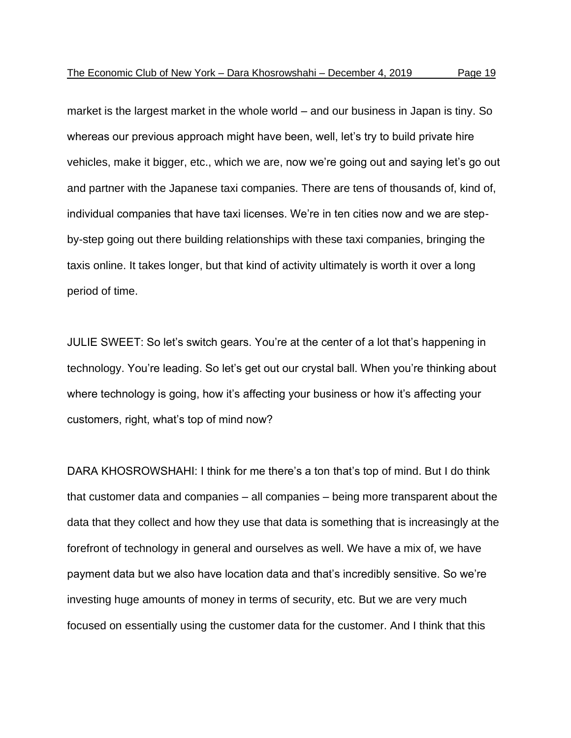market is the largest market in the whole world – and our business in Japan is tiny. So whereas our previous approach might have been, well, let's try to build private hire vehicles, make it bigger, etc., which we are, now we're going out and saying let's go out and partner with the Japanese taxi companies. There are tens of thousands of, kind of, individual companies that have taxi licenses. We're in ten cities now and we are stepby-step going out there building relationships with these taxi companies, bringing the taxis online. It takes longer, but that kind of activity ultimately is worth it over a long period of time.

JULIE SWEET: So let's switch gears. You're at the center of a lot that's happening in technology. You're leading. So let's get out our crystal ball. When you're thinking about where technology is going, how it's affecting your business or how it's affecting your customers, right, what's top of mind now?

DARA KHOSROWSHAHI: I think for me there's a ton that's top of mind. But I do think that customer data and companies – all companies – being more transparent about the data that they collect and how they use that data is something that is increasingly at the forefront of technology in general and ourselves as well. We have a mix of, we have payment data but we also have location data and that's incredibly sensitive. So we're investing huge amounts of money in terms of security, etc. But we are very much focused on essentially using the customer data for the customer. And I think that this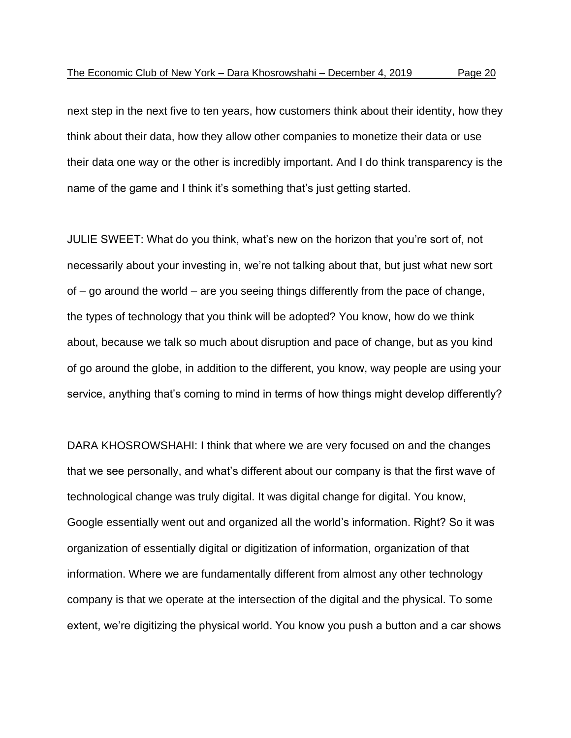next step in the next five to ten years, how customers think about their identity, how they think about their data, how they allow other companies to monetize their data or use their data one way or the other is incredibly important. And I do think transparency is the name of the game and I think it's something that's just getting started.

JULIE SWEET: What do you think, what's new on the horizon that you're sort of, not necessarily about your investing in, we're not talking about that, but just what new sort of – go around the world – are you seeing things differently from the pace of change, the types of technology that you think will be adopted? You know, how do we think about, because we talk so much about disruption and pace of change, but as you kind of go around the globe, in addition to the different, you know, way people are using your service, anything that's coming to mind in terms of how things might develop differently?

DARA KHOSROWSHAHI: I think that where we are very focused on and the changes that we see personally, and what's different about our company is that the first wave of technological change was truly digital. It was digital change for digital. You know, Google essentially went out and organized all the world's information. Right? So it was organization of essentially digital or digitization of information, organization of that information. Where we are fundamentally different from almost any other technology company is that we operate at the intersection of the digital and the physical. To some extent, we're digitizing the physical world. You know you push a button and a car shows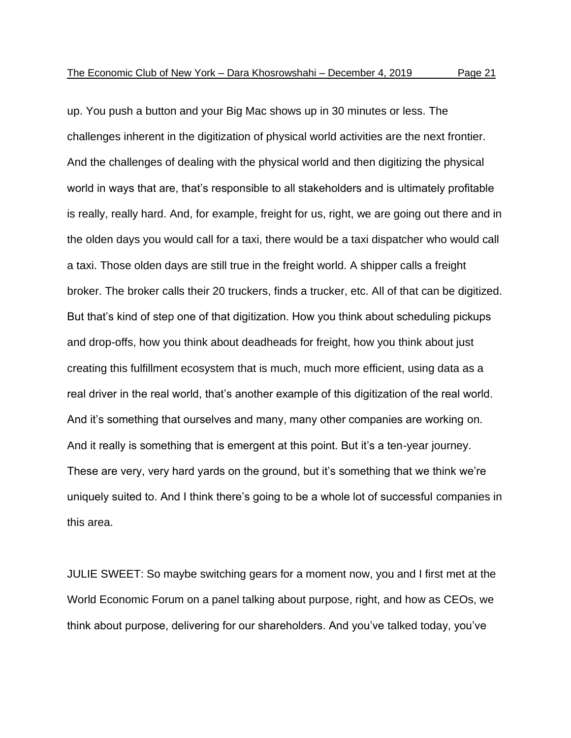up. You push a button and your Big Mac shows up in 30 minutes or less. The challenges inherent in the digitization of physical world activities are the next frontier. And the challenges of dealing with the physical world and then digitizing the physical world in ways that are, that's responsible to all stakeholders and is ultimately profitable is really, really hard. And, for example, freight for us, right, we are going out there and in the olden days you would call for a taxi, there would be a taxi dispatcher who would call a taxi. Those olden days are still true in the freight world. A shipper calls a freight broker. The broker calls their 20 truckers, finds a trucker, etc. All of that can be digitized. But that's kind of step one of that digitization. How you think about scheduling pickups and drop-offs, how you think about deadheads for freight, how you think about just creating this fulfillment ecosystem that is much, much more efficient, using data as a real driver in the real world, that's another example of this digitization of the real world. And it's something that ourselves and many, many other companies are working on. And it really is something that is emergent at this point. But it's a ten-year journey. These are very, very hard yards on the ground, but it's something that we think we're uniquely suited to. And I think there's going to be a whole lot of successful companies in this area.

JULIE SWEET: So maybe switching gears for a moment now, you and I first met at the World Economic Forum on a panel talking about purpose, right, and how as CEOs, we think about purpose, delivering for our shareholders. And you've talked today, you've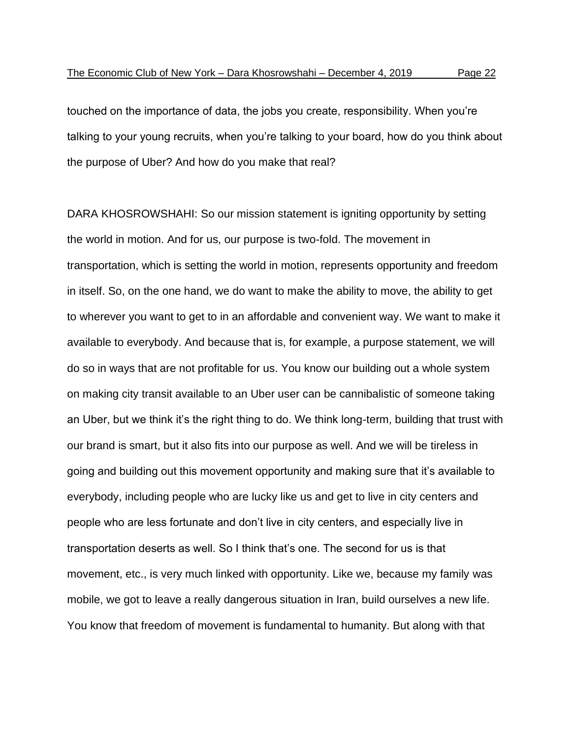touched on the importance of data, the jobs you create, responsibility. When you're talking to your young recruits, when you're talking to your board, how do you think about the purpose of Uber? And how do you make that real?

DARA KHOSROWSHAHI: So our mission statement is igniting opportunity by setting the world in motion. And for us, our purpose is two-fold. The movement in transportation, which is setting the world in motion, represents opportunity and freedom in itself. So, on the one hand, we do want to make the ability to move, the ability to get to wherever you want to get to in an affordable and convenient way. We want to make it available to everybody. And because that is, for example, a purpose statement, we will do so in ways that are not profitable for us. You know our building out a whole system on making city transit available to an Uber user can be cannibalistic of someone taking an Uber, but we think it's the right thing to do. We think long-term, building that trust with our brand is smart, but it also fits into our purpose as well. And we will be tireless in going and building out this movement opportunity and making sure that it's available to everybody, including people who are lucky like us and get to live in city centers and people who are less fortunate and don't live in city centers, and especially live in transportation deserts as well. So I think that's one. The second for us is that movement, etc., is very much linked with opportunity. Like we, because my family was mobile, we got to leave a really dangerous situation in Iran, build ourselves a new life. You know that freedom of movement is fundamental to humanity. But along with that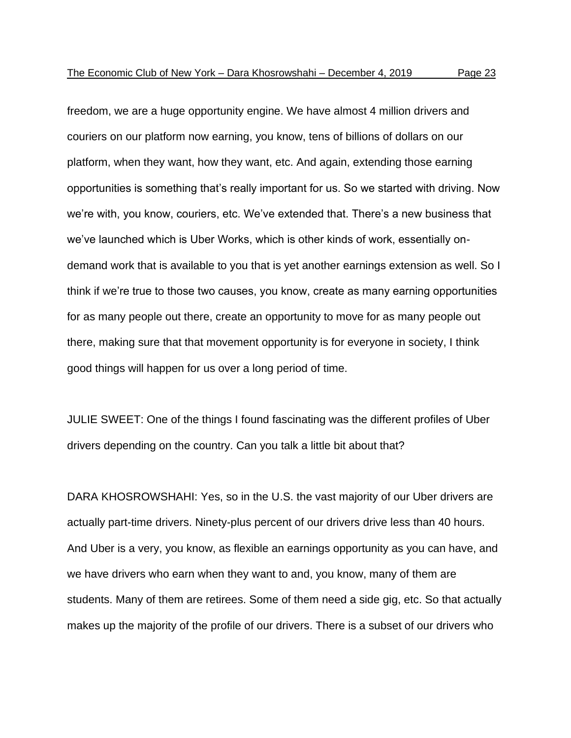freedom, we are a huge opportunity engine. We have almost 4 million drivers and couriers on our platform now earning, you know, tens of billions of dollars on our platform, when they want, how they want, etc. And again, extending those earning opportunities is something that's really important for us. So we started with driving. Now we're with, you know, couriers, etc. We've extended that. There's a new business that we've launched which is Uber Works, which is other kinds of work, essentially ondemand work that is available to you that is yet another earnings extension as well. So I think if we're true to those two causes, you know, create as many earning opportunities for as many people out there, create an opportunity to move for as many people out there, making sure that that movement opportunity is for everyone in society, I think good things will happen for us over a long period of time.

JULIE SWEET: One of the things I found fascinating was the different profiles of Uber drivers depending on the country. Can you talk a little bit about that?

DARA KHOSROWSHAHI: Yes, so in the U.S. the vast majority of our Uber drivers are actually part-time drivers. Ninety-plus percent of our drivers drive less than 40 hours. And Uber is a very, you know, as flexible an earnings opportunity as you can have, and we have drivers who earn when they want to and, you know, many of them are students. Many of them are retirees. Some of them need a side gig, etc. So that actually makes up the majority of the profile of our drivers. There is a subset of our drivers who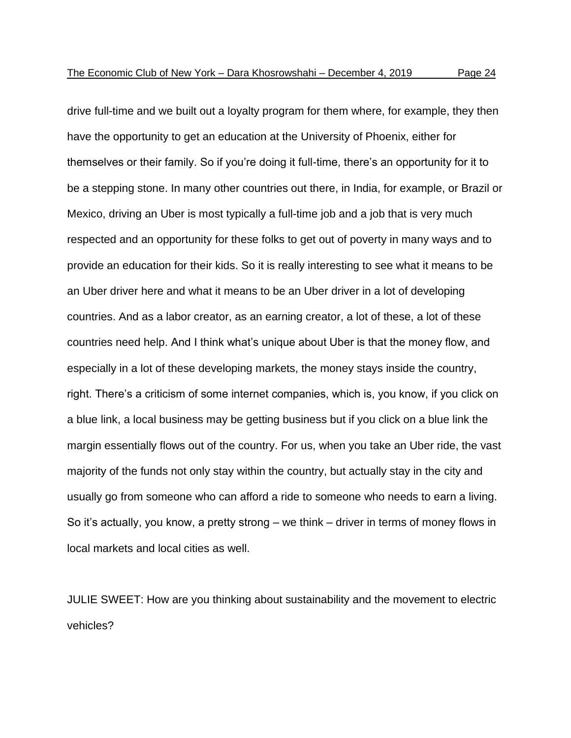drive full-time and we built out a loyalty program for them where, for example, they then have the opportunity to get an education at the University of Phoenix, either for themselves or their family. So if you're doing it full-time, there's an opportunity for it to be a stepping stone. In many other countries out there, in India, for example, or Brazil or Mexico, driving an Uber is most typically a full-time job and a job that is very much respected and an opportunity for these folks to get out of poverty in many ways and to provide an education for their kids. So it is really interesting to see what it means to be an Uber driver here and what it means to be an Uber driver in a lot of developing countries. And as a labor creator, as an earning creator, a lot of these, a lot of these countries need help. And I think what's unique about Uber is that the money flow, and especially in a lot of these developing markets, the money stays inside the country, right. There's a criticism of some internet companies, which is, you know, if you click on a blue link, a local business may be getting business but if you click on a blue link the margin essentially flows out of the country. For us, when you take an Uber ride, the vast

majority of the funds not only stay within the country, but actually stay in the city and usually go from someone who can afford a ride to someone who needs to earn a living. So it's actually, you know, a pretty strong – we think – driver in terms of money flows in local markets and local cities as well.

JULIE SWEET: How are you thinking about sustainability and the movement to electric vehicles?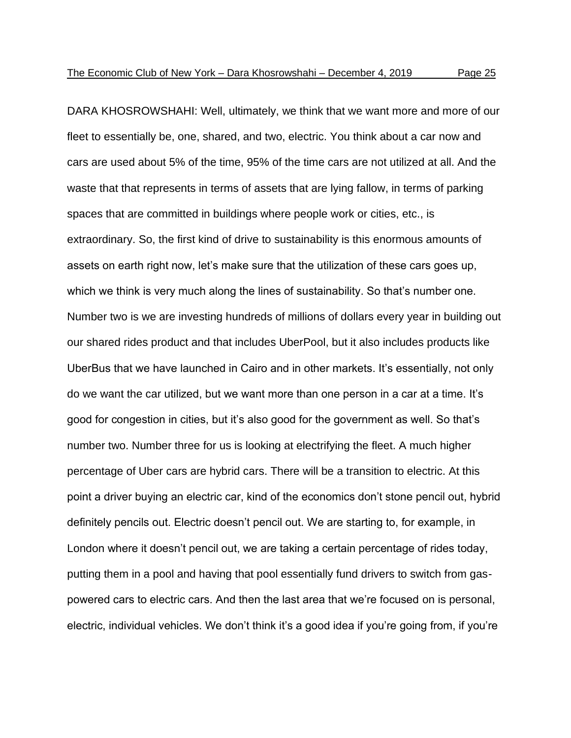DARA KHOSROWSHAHI: Well, ultimately, we think that we want more and more of our fleet to essentially be, one, shared, and two, electric. You think about a car now and cars are used about 5% of the time, 95% of the time cars are not utilized at all. And the waste that that represents in terms of assets that are lying fallow, in terms of parking spaces that are committed in buildings where people work or cities, etc., is extraordinary. So, the first kind of drive to sustainability is this enormous amounts of assets on earth right now, let's make sure that the utilization of these cars goes up, which we think is very much along the lines of sustainability. So that's number one. Number two is we are investing hundreds of millions of dollars every year in building out our shared rides product and that includes UberPool, but it also includes products like UberBus that we have launched in Cairo and in other markets. It's essentially, not only do we want the car utilized, but we want more than one person in a car at a time. It's good for congestion in cities, but it's also good for the government as well. So that's number two. Number three for us is looking at electrifying the fleet. A much higher percentage of Uber cars are hybrid cars. There will be a transition to electric. At this point a driver buying an electric car, kind of the economics don't stone pencil out, hybrid definitely pencils out. Electric doesn't pencil out. We are starting to, for example, in London where it doesn't pencil out, we are taking a certain percentage of rides today, putting them in a pool and having that pool essentially fund drivers to switch from gaspowered cars to electric cars. And then the last area that we're focused on is personal, electric, individual vehicles. We don't think it's a good idea if you're going from, if you're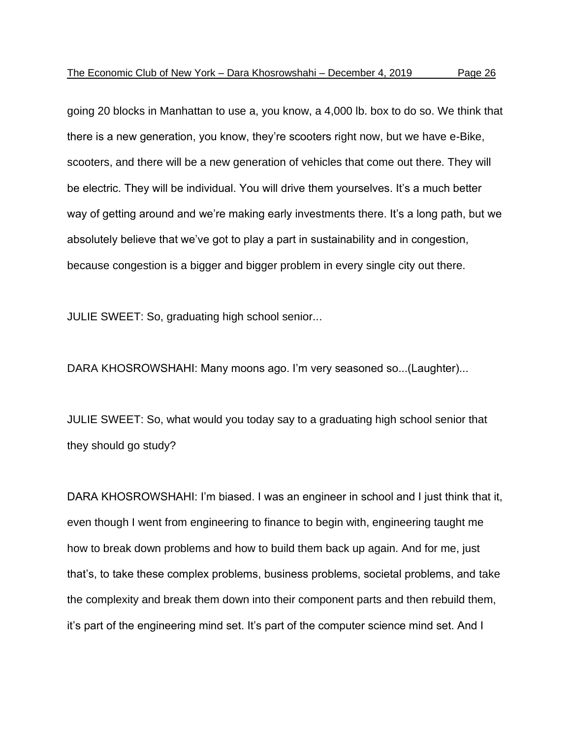going 20 blocks in Manhattan to use a, you know, a 4,000 lb. box to do so. We think that there is a new generation, you know, they're scooters right now, but we have e-Bike, scooters, and there will be a new generation of vehicles that come out there. They will be electric. They will be individual. You will drive them yourselves. It's a much better way of getting around and we're making early investments there. It's a long path, but we absolutely believe that we've got to play a part in sustainability and in congestion, because congestion is a bigger and bigger problem in every single city out there.

JULIE SWEET: So, graduating high school senior...

DARA KHOSROWSHAHI: Many moons ago. I'm very seasoned so...(Laughter)...

JULIE SWEET: So, what would you today say to a graduating high school senior that they should go study?

DARA KHOSROWSHAHI: I'm biased. I was an engineer in school and I just think that it, even though I went from engineering to finance to begin with, engineering taught me how to break down problems and how to build them back up again. And for me, just that's, to take these complex problems, business problems, societal problems, and take the complexity and break them down into their component parts and then rebuild them, it's part of the engineering mind set. It's part of the computer science mind set. And I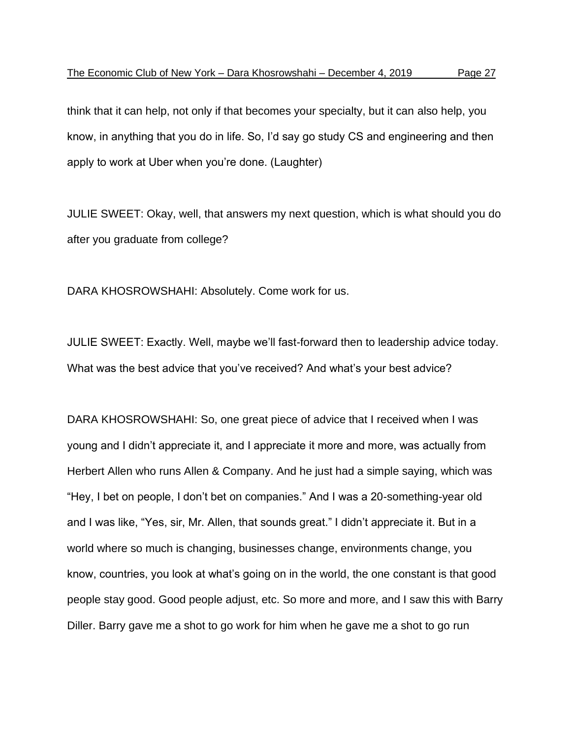think that it can help, not only if that becomes your specialty, but it can also help, you know, in anything that you do in life. So, I'd say go study CS and engineering and then apply to work at Uber when you're done. (Laughter)

JULIE SWEET: Okay, well, that answers my next question, which is what should you do after you graduate from college?

DARA KHOSROWSHAHI: Absolutely. Come work for us.

JULIE SWEET: Exactly. Well, maybe we'll fast-forward then to leadership advice today. What was the best advice that you've received? And what's your best advice?

DARA KHOSROWSHAHI: So, one great piece of advice that I received when I was young and I didn't appreciate it, and I appreciate it more and more, was actually from Herbert Allen who runs Allen & Company. And he just had a simple saying, which was "Hey, I bet on people, I don't bet on companies." And I was a 20-something-year old and I was like, "Yes, sir, Mr. Allen, that sounds great." I didn't appreciate it. But in a world where so much is changing, businesses change, environments change, you know, countries, you look at what's going on in the world, the one constant is that good people stay good. Good people adjust, etc. So more and more, and I saw this with Barry Diller. Barry gave me a shot to go work for him when he gave me a shot to go run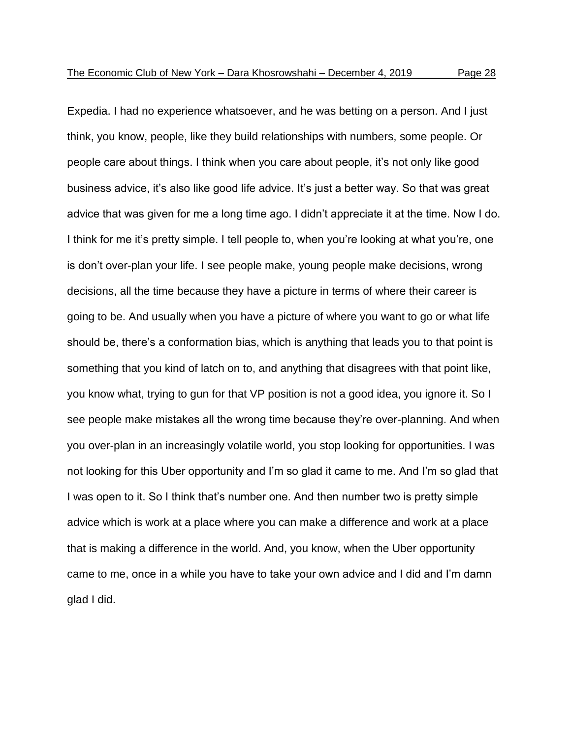Expedia. I had no experience whatsoever, and he was betting on a person. And I just think, you know, people, like they build relationships with numbers, some people. Or people care about things. I think when you care about people, it's not only like good business advice, it's also like good life advice. It's just a better way. So that was great advice that was given for me a long time ago. I didn't appreciate it at the time. Now I do. I think for me it's pretty simple. I tell people to, when you're looking at what you're, one is don't over-plan your life. I see people make, young people make decisions, wrong decisions, all the time because they have a picture in terms of where their career is going to be. And usually when you have a picture of where you want to go or what life should be, there's a conformation bias, which is anything that leads you to that point is something that you kind of latch on to, and anything that disagrees with that point like, you know what, trying to gun for that VP position is not a good idea, you ignore it. So I see people make mistakes all the wrong time because they're over-planning. And when you over-plan in an increasingly volatile world, you stop looking for opportunities. I was not looking for this Uber opportunity and I'm so glad it came to me. And I'm so glad that I was open to it. So I think that's number one. And then number two is pretty simple advice which is work at a place where you can make a difference and work at a place that is making a difference in the world. And, you know, when the Uber opportunity came to me, once in a while you have to take your own advice and I did and I'm damn glad I did.